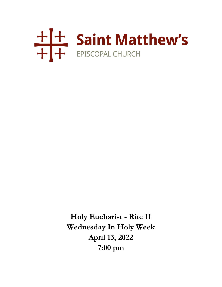

**Holy Eucharist - Rite II Wednesday In Holy Week April 13, 2022 7:00 pm**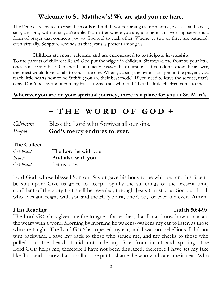## **Welcome to St. Matthew's! We are glad you are here.**

The People are invited to read the words in **bold**. If you're joining us from home, please stand, kneel, sing, and pray with us as you're able. No matter where you are, joining in this worship service is a form of prayer that connects you to God and to each other. Whenever two or three are gathered, even virtually, Scripture reminds us that Jesus is present among us.

#### **Children are most welcome and are encouraged to participate in worship.**

To the parents of children: Relax! God put the wiggle in children. Sit toward the front so your little ones can see and hear. Go ahead and quietly answer their questions. If you don't know the answer, the priest would love to talk to your little one. When you sing the hymns and join in the prayers, you teach little hearts how to be faithful; you are their best model. If you need to leave the service, that's okay. Don't be shy about coming back. It was Jesus who said, "Let the little children come to me."

#### **Wherever you are on your spiritual journey, there is a place for you at St. Matt's.**

# **+ T H E W O R D O F G O D +**

| Celebrant | Bless the Lord who forgives all our sins. |
|-----------|-------------------------------------------|
| People    | God's mercy endures forever.              |

#### **The Collect**

| Celebrant | The Lord be with you. |
|-----------|-----------------------|
| People    | And also with you.    |
| Celebrant | Let us pray.          |

Lord God, whose blessed Son our Savior gave his body to be whipped and his face to be spit upon: Give us grace to accept joyfully the sufferings of the present time, confident of the glory that shall be revealed; through Jesus Christ your Son our Lord, who lives and reigns with you and the Holy Spirit, one God, for ever and ever. **Amen.**

#### **First Reading Isaiah 50:4-9a**

The Lord GOD has given me the tongue of a teacher, that I may know how to sustain the weary with a word. Morning by morning he wakens--wakens my ear to listen as those who are taught. The Lord GOD has opened my ear, and I was not rebellious, I did not turn backward. I gave my back to those who struck me, and my cheeks to those who pulled out the beard; I did not hide my face from insult and spitting. The Lord GOD helps me; therefore I have not been disgraced; therefore I have set my face like flint, and I know that I shall not be put to shame; he who vindicates me is near. Who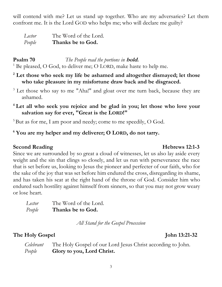will contend with me? Let us stand up together. Who are my adversaries? Let them confront me. It is the Lord GOD who helps me; who will declare me guilty?

*Lector* The Word of the Lord. *People* **Thanks be to God.**

**Psalm 70** *The People read the portions in* **bold.**  $1$  Be pleased, O God, to deliver me; O LORD, make haste to help me.

**<sup>2</sup> Let those who seek my life be ashamed and altogether dismayed; let those who take pleasure in my misfortune draw back and be disgraced.**

- <sup>3</sup> Let those who say to me "Aha!" and gloat over me turn back, because they are ashamed.
- **<sup>4</sup>Let all who seek you rejoice and be glad in you; let those who love your salvation say for ever, "Great is the LORD!"**

 $5$ But as for me, I am poor and needy; come to me speedily, O God.

## **<sup>6</sup> You are my helper and my deliverer; O LORD, do not tarry.**

### **Second Reading Hebrews 12:1-3**

Since we are surrounded by so great a cloud of witnesses, let us also lay aside every weight and the sin that clings so closely, and let us run with perseverance the race that is set before us, looking to Jesus the pioneer and perfecter of our faith, who for the sake of the joy that was set before him endured the cross, disregarding its shame, and has taken his seat at the right hand of the throne of God. Consider him who endured such hostility against himself from sinners, so that you may not grow weary or lose heart.

| Lector | The Word of the Lord. |
|--------|-----------------------|
| People | Thanks be to God.     |

*All Stand for the Gospel Procession*

## **The Holy Gospel John 13:21-32**

| Celebrant | The Holy Gospel of our Lord Jesus Christ according to John. |
|-----------|-------------------------------------------------------------|
| People    | Glory to you, Lord Christ.                                  |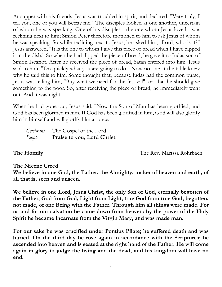At supper with his friends, Jesus was troubled in spirit, and declared, "Very truly, I tell you, one of you will betray me." The disciples looked at one another, uncertain of whom he was speaking. One of his disciples-- the one whom Jesus loved-- was reclining next to him; Simon Peter therefore motioned to him to ask Jesus of whom he was speaking. So while reclining next to Jesus, he asked him, "Lord, who is it?" Jesus answered, "It is the one to whom I give this piece of bread when I have dipped it in the dish." So when he had dipped the piece of bread, he gave it to Judas son of Simon Iscariot. After he received the piece of bread, Satan entered into him. Jesus said to him, "Do quickly what you are going to do." Now no one at the table knew why he said this to him. Some thought that, because Judas had the common purse, Jesus was telling him, "Buy what we need for the festival"; or, that he should give something to the poor. So, after receiving the piece of bread, he immediately went out. And it was night.

When he had gone out, Jesus said, "Now the Son of Man has been glorified, and God has been glorified in him. If God has been glorified in him, God will also glorify him in himself and will glorify him at once."

*Celebrant* The Gospel of the Lord. *People* **Praise to you, Lord Christ.**

**The Homily** The Rev. Marissa Rohrbach

## **The Nicene Creed**

**We believe in one God, the Father, the Almighty, maker of heaven and earth, of all that is, seen and unseen.** 

**We believe in one Lord, Jesus Christ, the only Son of God, eternally begotten of the Father, God from God, Light from Light, true God from true God, begotten, not made, of one Being with the Father. Through him all things were made. For us and for our salvation he came down from heaven: by the power of the Holy Spirit he became incarnate from the Virgin Mary, and was made man.** 

**For our sake he was crucified under Pontius Pilate; he suffered death and was buried. On the third day he rose again in accordance with the Scriptures; he ascended into heaven and is seated at the right hand of the Father. He will come again in glory to judge the living and the dead, and his kingdom will have no end.**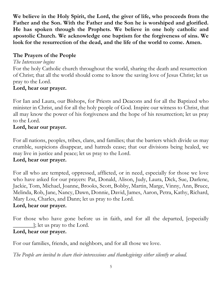**We believe in the Holy Spirit, the Lord, the giver of life, who proceeds from the Father and the Son. With the Father and the Son he is worshiped and glorified. He has spoken through the Prophets. We believe in one holy catholic and apostolic Church. We acknowledge one baptism for the forgiveness of sins. We look for the resurrection of the dead, and the life of the world to come. Amen.**

## **The Prayers of the People**

## *The Intercessor begins*

For the holy Catholic church throughout the world, sharing the death and resurrection of Christ; that all the world should come to know the saving love of Jesus Christ; let us pray to the Lord.

## **Lord, hear our prayer.**

For Ian and Laura, our Bishops, for Priests and Deacons and for all the Baptized who minister in Christ, and for all the holy people of God. Inspire our witness to Christ, that all may know the power of his forgiveness and the hope of his resurrection; let us pray to the Lord.

## **Lord, hear our prayer.**

For all nations, peoples, tribes, clans, and families; that the barriers which divide us may crumble, suspicions disappear, and hatreds cease; that our divisions being healed, we may live in justice and peace; let us pray to the Lord.

## **Lord, hear our prayer.**

For all who are tempted, oppressed, afflicted, or in need, especially for those we love who have asked for our prayers: Pat, Donald, Alison, Judy, Laura, Dick, Sue, Darlene, Jackie, Tom, Michael, Joanne, Brooks, Scott, Bobby, Martin, Marge, Vinny, Ann, Bruce, Melinda, Rob, Jane, Nancy, Dawn, Donnie, David, James, Aaron, Petra, Kathy, Richard, Mary Lou, Charles, and Dann; let us pray to the Lord. **Lord, hear our prayer.**

For those who have gone before us in faith, and for all the departed, [especially  $\Box$ ; let us pray to the Lord.

## **Lord, hear our prayer.**

For our families, friends, and neighbors, and for all those we love.

*The People are invited to share their intercessions and thanksgivings either silently or aloud.*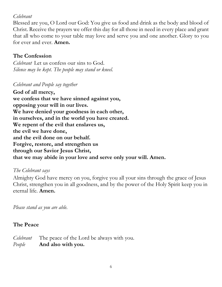#### *Celebrant*

Blessed are you, O Lord our God: You give us food and drink as the body and blood of Christ. Receive the prayers we offer this day for all those in need in every place and grant that all who come to your table may love and serve you and one another. Glory to you for ever and ever. **Amen.**

## **The Confession**

*Celebrant* Let us confess our sins to God. *Silence may be kept. The people may stand or kneel.*

### *Celebrant and People say together*

**God of all mercy, we confess that we have sinned against you, opposing your will in our lives. We have denied your goodness in each other, in ourselves, and in the world you have created. We repent of the evil that enslaves us, the evil we have done, and the evil done on our behalf. Forgive, restore, and strengthen us through our Savior Jesus Christ, that we may abide in your love and serve only your will. Amen.**

### *The Celebrant says*

Almighty God have mercy on you, forgive you all your sins through the grace of Jesus Christ, strengthen you in all goodness, and by the power of the Holy Spirit keep you in eternal life. **Amen.**

*Please stand as you are able.*

### **The Peace**

*Celebrant* The peace of the Lord be always with you. *People* **And also with you.**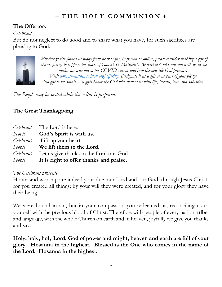## **+ T H E H O L Y C O M M U N I O N +**

## **The Offertory**

#### *Celebrant*

But do not neglect to do good and to share what you have, for such sacrifices are pleasing to God.



*Whether you've joined us today from near or far, in person or online, please consider making a gift of thanksgiving to support the work of God at St. Matthew's. Be part of God's mission with us as we make our way out of the COVID season and into the new life God promises. Visit [www.stmatthewswilton.org/offering.](http://www.stmatthewswilton.org/offering) Designate it as a gift or as part of your pledge. No gift is too small. All gifts honor the God who honors us with life, breath, love, and salvation.*

*The People may be seated while the Altar is prepared.*

## **The Great Thanksgiving**

|           | <i>Celebrant</i> The Lord is here.                    |
|-----------|-------------------------------------------------------|
|           | <i>People</i> <b>God's Spirit is with us.</b>         |
|           | <i>Celebrant</i> Lift up your hearts.                 |
| People    | We lift them to the Lord.                             |
| Celebrant | Let us give thanks to the Lord our God.               |
|           | <i>People</i> It is right to offer thanks and praise. |

#### *The Celebrant proceeds*

Honor and worship are indeed your due, our Lord and our God, through Jesus Christ, for you created all things; by your will they were created, and for your glory they have their being.

We were bound in sin, but in your compassion you redeemed us, reconciling us to yourself with the precious blood of Christ. Therefore with people of every nation, tribe, and language, with the whole Church on earth and in heaven, joyfully we give you thanks and say:

**Holy, holy, holy Lord, God of power and might, heaven and earth are full of your glory. Hosanna in the highest. Blessed is the One who comes in the name of the Lord. Hosanna in the highest.**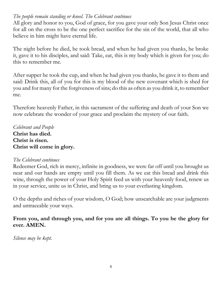#### *The people remain standing or kneel. The Celebrant continues*

All glory and honor to you, God of grace, for you gave your only Son Jesus Christ once for all on the cross to be the one perfect sacrifice for the sin of the world, that all who believe in him might have eternal life.

The night before he died, he took bread, and when he had given you thanks, he broke it, gave it to his disciples, and said: Take, eat, this is my body which is given for you; do this to remember me.

After supper he took the cup, and when he had given you thanks, he gave it to them and said: Drink this, all of you for this is my blood of the new covenant which is shed for you and for many for the forgiveness of sins; do this as often as you drink it, to remember me.

Therefore heavenly Father, in this sacrament of the suffering and death of your Son we now celebrate the wonder of your grace and proclaim the mystery of our faith.

*Celebrant and People* **Christ has died. Christ is risen. Christ will come in glory.**

#### *The Celebrant continues*

Redeemer God, rich in mercy, infinite in goodness, we were far off until you brought us near and our hands are empty until you fill them. As we eat this bread and drink this wine, through the power of your Holy Spirit feed us with your heavenly food, renew us in your service, unite us in Christ, and bring us to your everlasting kingdom.

O the depths and riches of your wisdom, O God; how unsearchable are your judgments and untraceable your ways.

### **From you, and through you, and for you are all things. To you be the glory for ever. AMEN.**

*Silence may be kept.*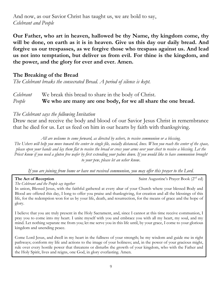And now, as our Savior Christ has taught us, we are bold to say, *Celebrant and People*

**Our Father, who art in heaven, hallowed be thy Name, thy kingdom come, thy will be done, on earth as it is in heaven. Give us this day our daily bread. And forgive us our trespasses, as we forgive those who trespass against us. And lead us not into temptation, but deliver us from evil. For thine is the kingdom, and the power, and the glory for ever and ever. Amen.**

#### **The Breaking of the Bread**

*The Celebrant breaks the consecrated Bread. A period of silence is kept.*

## *Celebrant* We break this bread to share in the body of Christ. *People* **We who are many are one body, for we all share the one bread.**

#### *The Celebrant says the following Invitation*

Draw near and receive the body and blood of our Savior Jesus Christ in remembrance that he died for us. Let us feed on him in our hearts by faith with thanksgiving.

*All are welcome to come forward, as directed by ushers, to receive communion or a blessing.*

*The Ushers will help you move toward the center in single file, socially distanced, lines. When you reach the center of the space, please open your hands and lay them flat to receive the bread or cross your arms over your chest to receive a blessing. Let the Priest know if you need a gluten free wafer by first extending your palms down. If you would like to have communion brought to your pew, please let an usher know*.

*If you are joining from home or have not received communion, you may offer this prayer to the Lord.*

**The Act of Reception** Saint Augustine's Prayer Book (2<sup>nd</sup> ed)

*The Celebrant and the People say together*

In union, Blessed Jesus, with the faithful gathered at every altar of your Church where your blessed Body and Blood are offered this day, I long to offer you praise and thanksgiving, for creation and all the blessings of this life, for the redemption won for us by your life, death, and resurrection, for the means of grace and the hope of glory.

I believe that you are truly present in the Holy Sacrament, and, since I cannot at this time receive communion, I pray you to come into my heart. I unite myself with you and embrace you with all my heart, my soul, and my mind. Let nothing separate me from you; let me serve you in this life until, by your grace, I come to your glorious kingdom and unending peace.

Come Lord Jesus, and dwell in my heart in the fullness of your strength; be my wisdom and guide me in right pathways; conform my life and actions to the image of your holiness; and, in the power of your gracious might, rule over every hostile power that threatens or disturbs the growth of your kingdom, who with the Father and the Holy Spirit, lives and reigns, one God, in glory everlasting. Amen.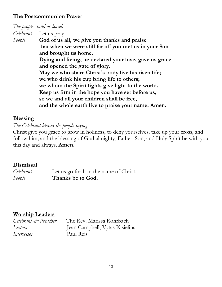#### **The Postcommunion Prayer**

## *The people stand or kneel. Celebrant* Let us pray. *People* **God of us all, we give you thanks and praise that when we were still far off you met us in your Son and brought us home. Dying and living, he declared your love, gave us grace and opened the gate of glory. May we who share Christ's body live his risen life; we who drink his cup bring life to others; we whom the Spirit lights give light to the world. Keep us firm in the hope you have set before us, so we and all your children shall be free, and the whole earth live to praise your name. Amen.**

### **Blessing**

*The Celebrant blesses the people saying*

Christ give you grace to grow in holiness, to deny yourselves, take up your cross, and follow him; and the blessing of God almighty, Father, Son, and Holy Spirit be with you this day and always. **Amen.**

## **Dismissal**

*Celebrant* Let us go forth in the name of Christ. *People* **Thanks be to God.**

## **Worship Leaders**

| Celebrant & Preacher | The Rev. Marissa Rohrbach      |
|----------------------|--------------------------------|
| Lectors              | Jean Campbell, Vytas Kisielius |
| Intercessor          | Paul Reis                      |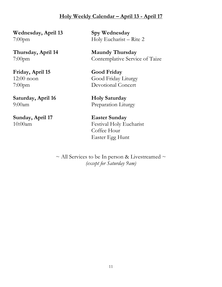### **Holy Weekly Calendar – April 13 - April 17**

**Wednesday, April 13 Spy Wednesday**

**Friday, April 15 Good Friday**

**Saturday, April 16 Holy Saturday**

**Sunday, April 17 Easter Sunday** 

7:00pm Holy Eucharist – Rite 2

**Thursday, April 14 Maundy Thursday** 7:00pm Contemplative Service of Taize

12:00 noon Good Friday Liturgy 7:00pm Devotional Concert

9:00am Preparation Liturgy

10:00am Festival Holy Eucharist Coffee Hour Easter Egg Hunt

> $\sim$  All Services to be In person & Livestreamed  $\sim$ *(except for Saturday 9am)*